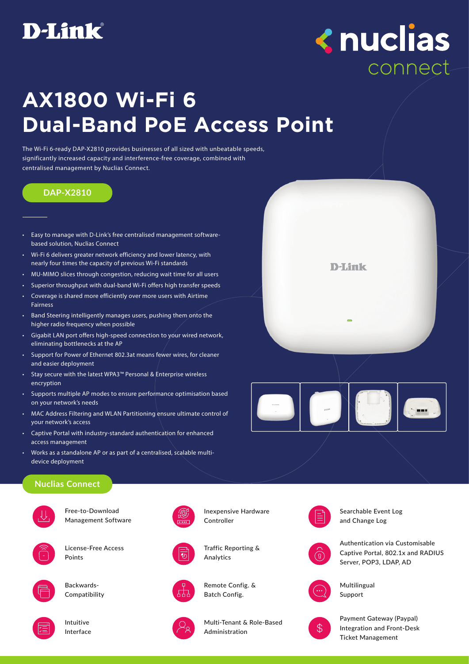

# **<nuclias** connect

# **AX1800 Wi-Fi 6 Dual-Band PoE Access Point**

The Wi-Fi 6-ready DAP-X2810 provides businesses of all sized with unbeatable speeds, significantly increased capacity and interference-free coverage, combined with centralised management by Nuclias Connect.

### **DAP-X2810**

- Easy to manage with D-Link's free centralised management softwarebased solution, Nuclias Connect
- Wi-Fi 6 delivers greater network efficiency and lower latency, with nearly four times the capacity of previous Wi-Fi standards
- MU-MIMO slices through congestion, reducing wait time for all users
- Superior throughput with dual-band Wi-Fi offers high transfer speeds
- Coverage is shared more efficiently over more users with Airtime Fairness
- Band Steering intelligently manages users, pushing them onto the higher radio frequency when possible
- Gigabit LAN port offers high-speed connection to your wired network, eliminating bottlenecks at the AP
- Support for Power of Ethernet 802.3at means fewer wires, for cleaner and easier deployment
- Stay secure with the latest WPA3™ Personal & Enterprise wireless encryption
- Supports multiple AP modes to ensure performance optimisation based on your network's needs
- MAC Address Filtering and WLAN Partitioning ensure ultimate control of your network's access
- Captive Portal with industry-standard authentication for enhanced access management
- Works as a standalone AP or as part of a centralised, scalable multidevice deployment

# **D-Link**



### **Nuclias Connect**



Free-to-Download Management Software



License-Free Access Points



Backwards-Compatibility



Intuitive Interface



Inexpensive Hardware Controller



Traffic Reporting & Analytics



Remote Config. & Batch Config.



Multi-Tenant & Role-Based Administration





Authentication via Customisable Captive Portal, 802.1x and RADIUS Server, POP3, LDAP, AD



Multilingual Support



Payment Gateway (Paypal) Integration and Front-Desk Ticket Management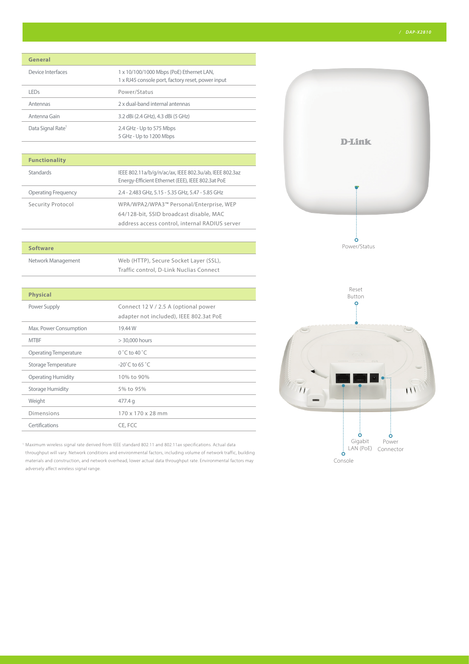### **General**

| Device Interfaces             | 1 x 10/100/1000 Mbps (PoE) Ethernet LAN,<br>1 x RJ45 console port, factory reset, power input |
|-------------------------------|-----------------------------------------------------------------------------------------------|
| l FDs                         | Power/Status                                                                                  |
| Antennas                      | 2 x dual-band internal antennas                                                               |
| Antenna Gain                  | 3.2 dBi (2.4 GHz), 4.3 dBi (5 GHz)                                                            |
| Data Signal Rate <sup>1</sup> | 2.4 GHz - Up to 575 Mbps<br>5 GHz - Up to 1200 Mbps                                           |

### **Functionality**

| <b>Standards</b>           | IEEE 802.11a/b/g/n/ac/ax, IEEE 802.3u/ab, IEEE 802.3az<br>Energy-Efficient Ethernet (EEE), IEEE 802.3at PoE |
|----------------------------|-------------------------------------------------------------------------------------------------------------|
| <b>Operating Frequency</b> | 2.4 - 2.483 GHz, 5.15 - 5.35 GHz, 5.47 - 5.85 GHz                                                           |
| Security Protocol          | WPA/WPA2/WPA3™ Personal/Enterprise, WEP                                                                     |
|                            | 64/128-bit, SSID broadcast disable, MAC                                                                     |
|                            | address access control, internal RADIUS server                                                              |

### **Software**

Network Management Web (HTTP), Secure Socket Layer (SSL), Traffic control, D-Link Nuclias Connect

| Connect 12 V / 2.5 A (optional power    |
|-----------------------------------------|
| adapter not included), IEEE 802.3at PoE |
| 19.44 W                                 |
| $> 30,000$ hours                        |
| $0^\circ$ C to 40 $^\circ$ C            |
| $-20^{\circ}$ C to 65 $^{\circ}$ C      |
| 10% to 90%                              |
| 5% to 95%                               |
| 477.4 g                                 |
| 170 x 170 x 28 mm                       |
| CE, FCC                                 |
|                                         |

1 Maximum wireless signal rate derived from IEEE standard 802.11 and 802.11ax specifications. Actual data throughput will vary. Network conditions and environmental factors, including volume of network traffic, building materials and construction, and network overhead, lower actual data throughput rate. Environmental factors may adversely affect wireless signal range.